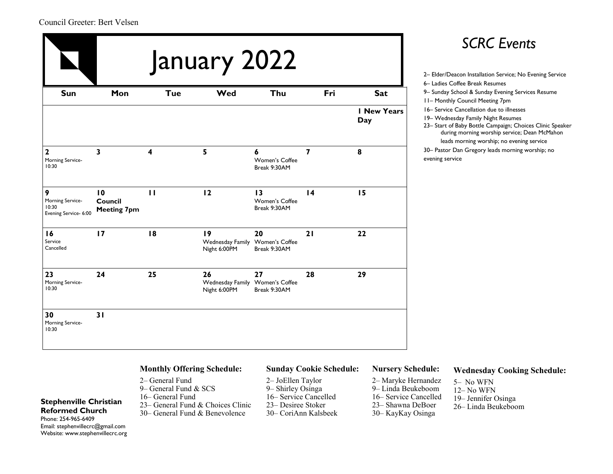### Council Greeter: Bert Velsen

|                                                         |                                                  | January 2022 | <b>SCRC Events</b><br>2- Elder/Deacon Installation Service; No Evening Service |                                      |                 |                    |                                                                                                                                                                                                                                         |
|---------------------------------------------------------|--------------------------------------------------|--------------|--------------------------------------------------------------------------------|--------------------------------------|-----------------|--------------------|-----------------------------------------------------------------------------------------------------------------------------------------------------------------------------------------------------------------------------------------|
| <b>Sun</b>                                              | Mon                                              | <b>Tue</b>   | Wed                                                                            | Thu                                  | Fri             | <b>Sat</b>         | 6- Ladies Coffee Break Resumes<br>9- Sunday School & Sunday Evening Services Resume<br><b>11- Monthly Council Meeting 7pm</b>                                                                                                           |
|                                                         |                                                  |              |                                                                                |                                      |                 | I New Years<br>Day | 16- Service Cancellation due to illnesses<br>19- Wednesday Family Night Resumes<br>23- Start of Baby Bottle Campaign; Choices Clinic Speak<br>during morning worship service; Dean McMahon<br>leads morning worship; no evening service |
| $\mathbf{2}$<br>Morning Service-<br>10:30               | $\overline{\mathbf{3}}$                          | 4            | 5                                                                              | 6<br>Women's Coffee<br>Break 9:30AM  | $\overline{7}$  | 8                  | 30- Pastor Dan Gregory leads morning worship; no<br>evening service                                                                                                                                                                     |
| 9<br>Morning Service-<br>10:30<br>Evening Service- 6:00 | $\overline{10}$<br>Council<br><b>Meeting 7pm</b> | $\mathbf{H}$ | 12                                                                             | 13<br>Women's Coffee<br>Break 9:30AM | $\overline{14}$ | 15                 |                                                                                                                                                                                                                                         |
| 16<br>Service<br>Cancelled                              | 17                                               | 18           | 19<br>Wednesday Family Women's Coffee<br>Night 6:00PM                          | 20<br>Break 9:30AM                   | 21              | 22                 |                                                                                                                                                                                                                                         |
| 23<br>Morning Service-<br>10:30                         | 24                                               | 25           | 26<br>Wednesday Family Women's Coffee<br>Night 6:00PM                          | 27<br>Break 9:30AM                   | 28              | 29                 |                                                                                                                                                                                                                                         |
| 30<br>Morning Service-<br>10:30                         | 31                                               |              |                                                                                |                                      |                 |                    |                                                                                                                                                                                                                                         |

### *SCRC Events*

- 
- 6– Ladies Coffee Break Resumes
- 9– Sunday School & Sunday Evening Services Resume
- 11– Monthly Council Meeting 7pm
- 16– Service Cancellation due to illnesses
- 19– Wednesday Family Night Resumes
- 23– Start of Baby Bottle Campaign; Choices Clinic Speaker during morning worship service; Dean McMahon leads morning worship; no evening service
- 30– Pastor Dan Gregory leads morning worship; no evening service

### **Monthly Offering Schedule:**

- 2– General Fund
- 9– General Fund & SCS
- 16– General Fund
- 23– General Fund & Choices Clinic
- 30– General Fund & Benevolence

### **Sunday Cookie Schedule:**

- 2– JoEllen Taylor
- 9– Shirley Osinga
- 16– Service Cancelled
- 23– Desiree Stoker
- 30– CoriAnn Kalsbeek

### **Nursery Schedule:**

- 2– Maryke Hernandez
- 9– Linda Beukeboom 12– No WFN
- 16– Service Cancelled 19– Jennifer Osinga
- 23– Shawna DeBoer 30– KayKay Osinga 26– Linda Beukeboom

5– No WFN

**Wednesday Cooking Schedule:**

**Reformed Church**  Phone: 254-965-6409 Email: stephenvillecrc@gmail.com Website: www.stephenvillecrc.org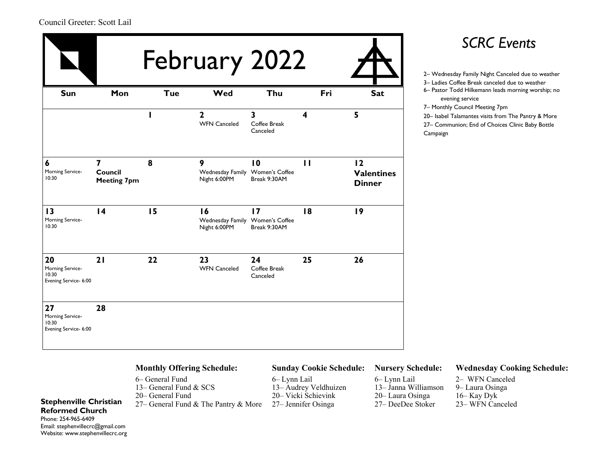|                                                          |                                           |            | February 2022                                         |                                |              |                                          | <b>SCRC Events</b><br>2- Wednesday Family Night Canceled due to weather<br>3- Ladies Coffee Break canceled due to weather                             |
|----------------------------------------------------------|-------------------------------------------|------------|-------------------------------------------------------|--------------------------------|--------------|------------------------------------------|-------------------------------------------------------------------------------------------------------------------------------------------------------|
| Sun                                                      | Mon                                       | <b>Tue</b> | Wed                                                   | Thu                            | Fri          | <b>Sat</b>                               | 6- Pastor Todd Hilkemann leads morning worship; no<br>evening service                                                                                 |
|                                                          |                                           | ı          | $\mathbf{2}$<br><b>WFN Canceled</b>                   | 3<br>Coffee Break<br>Canceled  | 4            | 5                                        | 7- Monthly Council Meeting 7pm<br>20- Isabel Talamantes visits from The Pantry & More<br>27- Communion; End of Choices Clinic Baby Bottle<br>Campaign |
| 6<br>Morning Service-<br>10:30                           | 7<br><b>Council</b><br><b>Meeting 7pm</b> | 8          | 9<br>Wednesday Family Women's Coffee<br>Night 6:00PM  | 10<br>Break 9:30AM             | $\mathbf{H}$ | 12<br><b>Valentines</b><br><b>Dinner</b> |                                                                                                                                                       |
| 13<br>Morning Service-<br>10:30                          | $\overline{14}$                           | 15         | 16<br>Wednesday Family Women's Coffee<br>Night 6:00PM | 17<br>Break 9:30AM             | 18           | 19                                       |                                                                                                                                                       |
| 20<br>Morning Service-<br>10:30<br>Evening Service- 6:00 | 21                                        | 22         | 23<br><b>WFN Canceled</b>                             | 24<br>Coffee Break<br>Canceled | 25           | 26                                       |                                                                                                                                                       |
| 27<br>Morning Service-<br>10:30<br>Evening Service- 6:00 | 28                                        |            |                                                       |                                |              |                                          |                                                                                                                                                       |

- 
- 3– Ladies Coffee Break canceled due to weather
- 6– Pastor Todd Hilkemann leads morning worship; no evening service
- 7– Monthly Council Meeting 7pm
- 20– Isabel Talamantes visits from The Pantry & More

### **Monthly Offering Schedule:**

- 6– General Fund
- 13– General Fund & SCS
- 20– General Fund
- **Stephenville Christian** 27– General Fund & The Pantry & More 27– Jennifer Osinga

### **Sunday Cookie Schedule:**

6– Lynn Lail 13– Audrey Veldhuizen 20– Vicki Schievink

**Nursery Schedule:**

– Lynn Lail – Janna Williamson – Laura Osinga – DeeDee Stoker

### **Wednesday Cooking Schedule:**

– WFN Canceled – Laura Osinga 16– Kay Dyk – WFN Canceled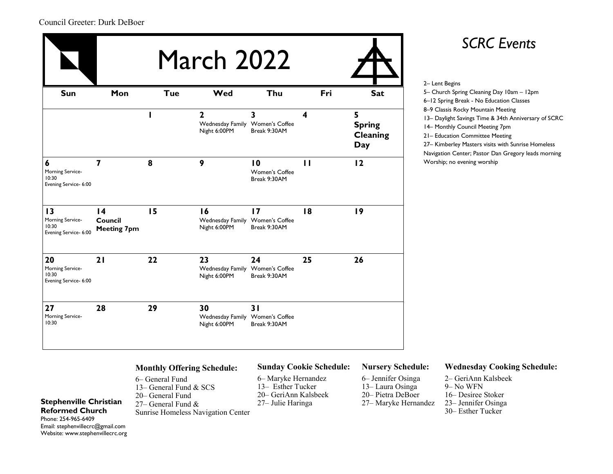### Council Greeter: Durk DeBoer

| Sun                                                      | Mon                                                     | <b>Tue</b> | Wed                                                             | Thu                                               | Fri              | <b>Sat</b>                            |
|----------------------------------------------------------|---------------------------------------------------------|------------|-----------------------------------------------------------------|---------------------------------------------------|------------------|---------------------------------------|
|                                                          |                                                         |            | $\mathbf{2}$<br>Wednesday Family Women's Coffee<br>Night 6:00PM | 3<br>Break 9:30AM                                 | $\boldsymbol{4}$ | 5<br><b>Spring</b><br>Cleaning<br>Day |
| 6<br>Morning Service-<br>10:30<br>Evening Service- 6:00  | $\overline{7}$                                          | 8          | 9                                                               | $\overline{10}$<br>Women's Coffee<br>Break 9:30AM | $\mathbf{H}$     | 12                                    |
| 13<br>Morning Service-<br>10:30<br>Evening Service- 6:00 | $\overline{14}$<br><b>Council</b><br><b>Meeting 7pm</b> | 15         | 16<br>Wednesday Family Women's Coffee<br>Night 6:00PM           | $\overline{17}$<br>Break 9:30AM                   | 18               | 19                                    |
| 20<br>Morning Service-<br>10:30<br>Evening Service- 6:00 | 21                                                      | 22         | 23<br>Wednesday Family Women's Coffee<br>Night 6:00PM           | 24<br>Break 9:30AM                                | 25               | 26                                    |
| 27<br>Morning Service-<br>10:30                          | 28                                                      | 29         | 30<br>Wednesday Family Women's Coffee<br>Night 6:00PM           | 31<br>Break 9:30AM                                |                  |                                       |

### *SCRC Events*

– Lent Begins – Church Spring Cleaning Day 10am – 12pm –12 Spring Break - No Education Classes –9 Classis Rocky Mountain Meeting – Daylight Savings Time & 34th Anniversary of SCRC – Monthly Council Meeting 7pm – Education Committee Meeting – Kimberley Masters visits with Sunrise Homeless Navigation Center; Pastor Dan Gregory leads morning Worship; no evening worship

### **Monthly Offering Schedule:**

– General Fund – General Fund & SCS – General Fund – General Fund & Sunrise Homeless Navigation Center

### **Sunday Cookie Schedule:**

6– Maryke Hernandez 13– Esther Tucker 20– GeriAnn Kalsbeek

#### **Nursery Schedule:**

– Jennifer Osinga – Laura Osinga – Pietra DeBoer – Maryke Hernandez

### **Wednesday Cooking Schedule:**

– GeriAnn Kalsbeek 9– No WFN – Desiree Stoker – Jennifer Osinga – Esther Tucker

**Reformed Church**  Phone: 254-965-6409 Email: stephenvillecrc@gmail.com Website: www.stephenvillecrc.org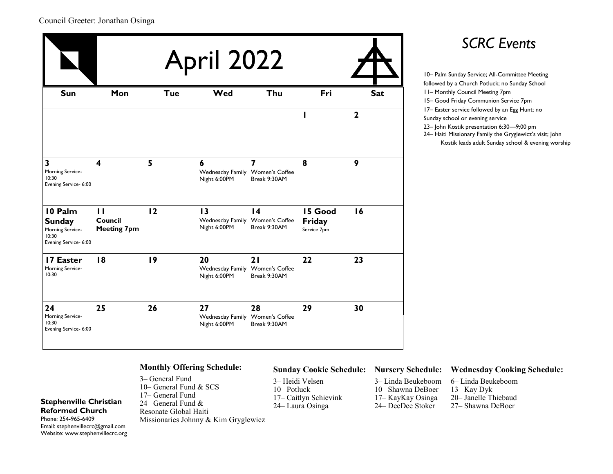### Council Greeter: Jonathan Osinga

|                                                                                |                                               |            | <b>April 2022</b>                                                  |                                 |                                  |                            | <b>SCRC</b> Events                                                                                                                                                                                                                                                                                                                                                                                                         |
|--------------------------------------------------------------------------------|-----------------------------------------------|------------|--------------------------------------------------------------------|---------------------------------|----------------------------------|----------------------------|----------------------------------------------------------------------------------------------------------------------------------------------------------------------------------------------------------------------------------------------------------------------------------------------------------------------------------------------------------------------------------------------------------------------------|
| Sun                                                                            | Mon                                           | <b>Tue</b> | Wed                                                                | Thu                             | Fri                              | <b>Sat</b><br>$\mathbf{2}$ | 10- Palm Sunday Service; All-Committee Meeting<br>followed by a Church Potluck; no Sunday School<br><b>11- Monthly Council Meeting 7pm</b><br>15- Good Friday Communion Service 7pm<br>17- Easter service followed by an Egg Hunt; no<br>Sunday school or evening service<br>23- John Kostik presentation 6:30-9;00 pm<br>24 Haiti Missionary Family the Gryglewicz's visit;<br>Kostik leads adult Sunday school & evening |
| 3<br>Morning Service-<br>10:30<br>Evening Service- 6:00                        | 4                                             | 5          | 6<br>Wednesday Family Women's Coffee<br>Night 6:00PM               | 7<br>Break 9:30AM               | 8                                | 9                          |                                                                                                                                                                                                                                                                                                                                                                                                                            |
| 10 Palm<br><b>Sunday</b><br>Morning Service-<br>10:30<br>Evening Service- 6:00 | $\mathbf{H}$<br>Council<br><b>Meeting 7pm</b> | 12         | $\overline{13}$<br>Wednesday Family Women's Coffee<br>Night 6:00PM | $\overline{14}$<br>Break 9:30AM | 15 Good<br>Friday<br>Service 7pm | 16                         |                                                                                                                                                                                                                                                                                                                                                                                                                            |
| 17 Easter<br>Morning Service-<br>10:30                                         | 18                                            | 19         | 20<br>Wednesday Family Women's Coffee<br>Night 6:00PM              | 21<br>Break 9:30AM              | 22                               | 23                         |                                                                                                                                                                                                                                                                                                                                                                                                                            |
| 24<br>Morning Service-<br>10:30<br>Evening Service- 6:00                       | 25                                            | 26         | 27<br>Wednesday Family Women's Coffee<br>Night 6:00PM              | 28<br>Break 9:30AM              | 29                               | 30                         |                                                                                                                                                                                                                                                                                                                                                                                                                            |

## *SCRC Events*

followed by a Church Potluck; no Sunday School – Monthly Council Meeting 7pm – Good Friday Communion Service 7pm – Easter service followed by an Egg Hunt; no Sunday school or evening service – John Kostik presentation 6:30—9;00 pm – Haiti Missionary Family the Gryglewicz's visit; John Kostik leads adult Sunday school & evening worship

### **Monthly Offering Schedule:**

– General Fund – General Fund & SCS – General Fund – General Fund & Resonate Global Haiti Missionaries Johnny & Kim Gryglewicz

### **Sunday Cookie Schedule: Nursery Schedule:**

3– Heidi Velsen 10– Potluck 17– Caitlyn Schievink

– Linda Beukeboom – Shawna DeBoer – KayKay Osinga – DeeDee Stoker

#### **Wednesday Cooking Schedule:**

– Linda Beukeboom 13– Kay Dyk – Janelle Thiebaud – Shawna DeBoer

**Reformed Church**  Phone: 254-965-6409 Email: stephenvillecrc@gmail.com Website: www.stephenvillecrc.org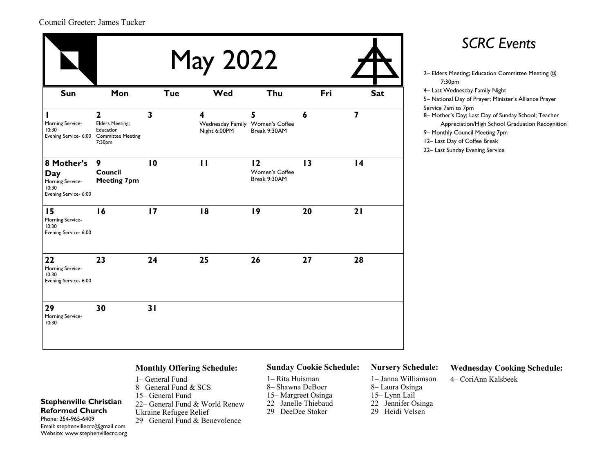### Council Greeter: James Tucker

| <b>May 2022</b>                                                         |                                                               |              |                                                      |                                      |     |                         | <b>SCRC Events</b><br>2- Elders Meeting; Education Committee Meeting @                                                                                                                                                         |
|-------------------------------------------------------------------------|---------------------------------------------------------------|--------------|------------------------------------------------------|--------------------------------------|-----|-------------------------|--------------------------------------------------------------------------------------------------------------------------------------------------------------------------------------------------------------------------------|
| Sun                                                                     | Mon                                                           | <b>Tue</b>   | Wed                                                  | Thu                                  | Fri | <b>Sat</b>              | 7:30pm<br>4- Last Wednesday Family Night<br>5- National Day of Prayer; Minister's Alliance Prayer                                                                                                                              |
| Morning Service-<br>10:30<br>Evening Service- 6:00 Committee Meeting    | $\mathbf{2}$<br><b>Elders Meeting;</b><br>Education<br>7:30pm | $\mathbf{3}$ | 4<br>Wednesday Family Women's Coffee<br>Night 6:00PM | 5 <sup>5</sup><br>Break 9:30AM       | 6   | $\overline{\mathbf{z}}$ | Service 7am to 7pm<br>8- Mother's Day; Last Day of Sunday School; Teacher<br>Appreciation/High School Graduation Recognit<br>9- Monthly Council Meeting 7pm<br>12- Last Day of Coffee Break<br>22- Last Sunday Evening Service |
| 8 Mother's<br>Day<br>Morning Service-<br>10:30<br>Evening Service- 6:00 | 9<br>Council<br><b>Meeting 7pm</b>                            | 10           | $\mathbf{H}$                                         | 12<br>Women's Coffee<br>Break 9:30AM | 13  | $\overline{14}$         |                                                                                                                                                                                                                                |
| 15<br>Morning Service-<br>10:30<br>Evening Service- 6:00                | 16                                                            | 17           | 18                                                   | 19                                   | 20  | 21                      |                                                                                                                                                                                                                                |
| 22<br>Morning Service-<br>10:30<br>Evening Service- 6:00                | 23                                                            | 24           | 25                                                   | 26                                   | 27  | 28                      |                                                                                                                                                                                                                                |
| 29<br>Morning Service-<br>10:30                                         | 30                                                            | 31           |                                                      |                                      |     |                         |                                                                                                                                                                                                                                |

### *SCRC Events*

- 7:30pm 4– Last Wednesday Family Night 5– National Day of Prayer; Minister's Alliance Prayer Service 7am to 7pm 8– Mother's Day; Last Day of Sunday School; Teacher Appreciation/High School Graduation Recognition 9– Monthly Council Meeting 7pm 12– Last Day of Coffee Break
- 22– Last Sunday Evening Service

### **Monthly Offering Schedule:**

- 1– General Fund 8– General Fund & SCS
- 15– General Fund 22– General Fund & World Renew
- Ukraine Refugee Relief

29– General Fund & Benevolence

### **Sunday Cookie Schedule:**

- 1– Rita Huisman
- 8– Shawna DeBoer
- 15– Margreet Osinga
- 22– Janelle Thiebaud
- 29– DeeDee Stoker

### **Nursery Schedule:**

- 1– Janna Williamson
- 8– Laura Osinga
- 15– Lynn Lail
- 22– Jennifer Osinga
- 29– Heidi Velsen

### **Wednesday Cooking Schedule:**

4– CoriAnn Kalsbeek

Phone: 254-965-6409 Email: stephenvillecrc@gmail.com Website: www.stephenvillecrc.org

**Stephenville Christian Reformed Church**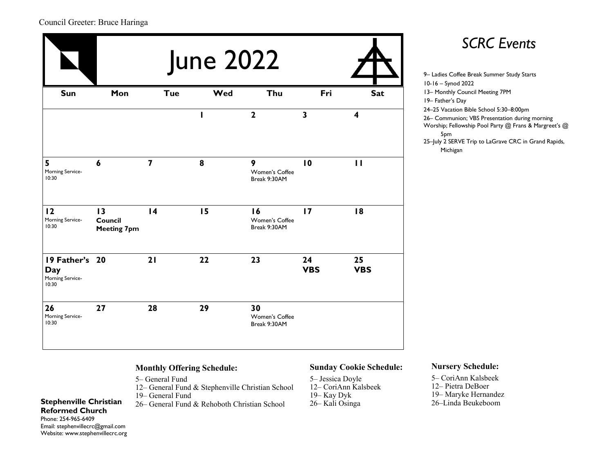### Council Greeter: Bruce Haringa

|                                                    | <b>June 2022</b>                    |                 |     |                                      |                  |                  | <b>SCRC Events</b><br>9- Ladies Coffee Break Summer Study Starts                                                                                                                                  |
|----------------------------------------------------|-------------------------------------|-----------------|-----|--------------------------------------|------------------|------------------|---------------------------------------------------------------------------------------------------------------------------------------------------------------------------------------------------|
| Sun                                                | Mon                                 | <b>Tue</b>      | Wed | Thu                                  | Fri              | <b>Sat</b>       | 10-16 - Synod 2022<br>13- Monthly Council Meeting 7PM<br>19- Father's Day                                                                                                                         |
|                                                    |                                     |                 |     | $\mathbf{2}$                         | $\mathbf{3}$     | 4                | 24-25 Vacation Bible School 5:30-8:00pm<br>26- Communion; VBS Presentation during m<br>Worship; Fellowship Pool Party @ Frans & N<br>5pm<br>25-July 2 SERVE Trip to LaGrave CRC in Gr<br>Michigan |
| 5<br>Morning Service-<br>10:30                     | 6                                   | 7               | 8   | 9<br>Women's Coffee<br>Break 9:30AM  | 10               | $\mathbf{H}$     |                                                                                                                                                                                                   |
| 12<br>Morning Service-<br>10:30                    | 13<br>Council<br><b>Meeting 7pm</b> | $\overline{14}$ | 15  | 16<br>Women's Coffee<br>Break 9:30AM | $\overline{17}$  | 18               |                                                                                                                                                                                                   |
| 19 Father's 20<br>Day<br>Morning Service-<br>10:30 |                                     | 21              | 22  | 23                                   | 24<br><b>VBS</b> | 25<br><b>VBS</b> |                                                                                                                                                                                                   |
| 26<br>Morning Service-<br>10:30                    | 27                                  | 28              | 29  | 30<br>Women's Coffee<br>Break 9:30AM |                  |                  |                                                                                                                                                                                                   |

### **Monthly Offering Schedule:**

- 5– General Fund
- 12– General Fund & Stephenville Christian School
- 19– General Fund
- **Stephenville Christian** 26– General Fund & Rehoboth Christian School 26– Kali Osinga

### **Sunday Cookie Schedule:**

5– Jessica Doyle 12– CoriAnn Kalsbeek 19– Kay Dyk

### **Nursery Schedule:**

– CoriAnn Kalsbeek – Pietra DeBoer – Maryke Hernandez –Linda Beukeboom

# *SCRC Events*

10-16 – Synod 2022 13– Monthly Council Meeting 7PM 19– Father's Day 24–25 Vacation Bible School 5:30–8:00pm 26– Communion; VBS Presentation during morning Worship; Fellowship Pool Party @ Frans & Margreet's @ 5pm 25-July 2 SERVE Trip to LaGrave CRC in Grand Rapids, Michigan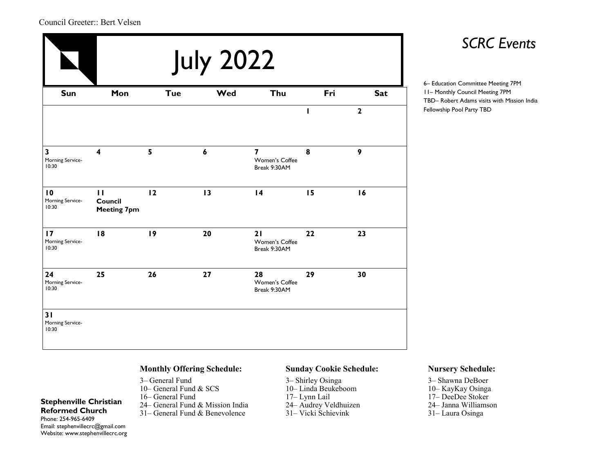### Council Greeter:: Bert Velsen

|                                                      | <b>July 2022</b>                              |            |                  |                                                  |     |                  |  |  |  |
|------------------------------------------------------|-----------------------------------------------|------------|------------------|--------------------------------------------------|-----|------------------|--|--|--|
| Sun                                                  | Mon                                           | <b>Tue</b> | Wed              | Thu                                              | Fri | <b>Sat</b>       |  |  |  |
|                                                      |                                               |            |                  |                                                  | п   | $\mathbf{2}$     |  |  |  |
| $\overline{\mathbf{3}}$<br>Morning Service-<br>10:30 | $\overline{\mathbf{4}}$                       | 5          | $\boldsymbol{6}$ | $\overline{7}$<br>Women's Coffee<br>Break 9:30AM | 8   | $\boldsymbol{9}$ |  |  |  |
| $\overline{10}$<br>Morning Service-<br>10:30         | $\mathbf{H}$<br>Council<br><b>Meeting 7pm</b> | 12         | 13               | $\overline{14}$                                  | 15  | 16               |  |  |  |
| 17<br>Morning Service-<br>10:30                      | 18                                            | 19         | 20               | 21<br>Women's Coffee<br>Break 9:30AM             | 22  | 23               |  |  |  |
| 24<br>Morning Service-<br>10:30                      | 25                                            | 26         | 27               | 28<br>Women's Coffee<br>Break 9:30AM             | 29  | 30               |  |  |  |
| 31<br>Morning Service-<br>10:30                      |                                               |            |                  |                                                  |     |                  |  |  |  |

### *SCRC Events*

6– Education Committee Meeting 7PM 11– Monthly Council Meeting 7PM TBD– Robert Adams visits with Mission India Fellowship Pool Party TBD

### **Monthly Offering Schedule:**

– General Fund – General Fund & SCS – General Fund – General Fund & Mission India – General Fund & Benevolence

#### **Sunday Cookie Schedule:**

– Shirley Osinga – Linda Beukeboom – Lynn Lail – Audrey Veldhuizen – Vicki Schievink

#### **Nursery Schedule:**

- 3– Shawna DeBoer
- 10– KayKay Osinga
- 17– DeeDee Stoker
- 24– Janna Williamson
- 31– Laura Osinga

#### **Reformed Church**  Phone: 254-965-6409 Email: stephenvillecrc@gmail.com Website: www.stephenvillecrc.org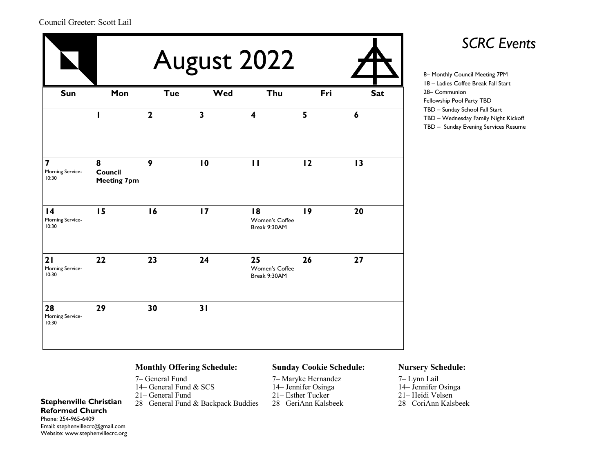|                                                      |                                    | <b>SCRC E</b><br>8- Monthly Council Meeting 7PM |                         |                                      |     |            |                                                                                                     |
|------------------------------------------------------|------------------------------------|-------------------------------------------------|-------------------------|--------------------------------------|-----|------------|-----------------------------------------------------------------------------------------------------|
| Sun                                                  | Mon                                | <b>Tue</b>                                      | Wed                     | Thu                                  | Fri | <b>Sat</b> | 18 - Ladies Coffee Break Fall Star<br>28- Communion<br>Fellowship Pool Party TBD                    |
|                                                      | п                                  | $\overline{2}$                                  | $\overline{\mathbf{3}}$ | $\overline{\mathbf{4}}$              | 5   | 6          | TBD - Sunday School Fall Start<br>TBD - Wednesday Family Night I<br>TBD - Sunday Evening Services F |
| $\overline{\mathbf{z}}$<br>Morning Service-<br>10:30 | 8<br>Council<br><b>Meeting 7pm</b> | 9                                               | $\overline{10}$         | $\mathbf{H}$                         | 12  | 13         |                                                                                                     |
| $\overline{14}$<br>Morning Service-<br>10:30         | 15                                 | 16                                              | $\overline{17}$         | 18<br>Women's Coffee<br>Break 9:30AM | 19  | 20         |                                                                                                     |
| 21<br>Morning Service-<br>10:30                      | 22                                 | 23                                              | 24                      | 25<br>Women's Coffee<br>Break 9:30AM | 26  | 27         |                                                                                                     |
| 28<br>Morning Service-<br>10:30                      | 29                                 | 30                                              | 31                      |                                      |     |            |                                                                                                     |

18 – Ladies Coffee Break Fall Start 28– Communion Fellowship Pool Party TBD TBD – Sunday School Fall Start TBD – Wednesday Family Night Kickoff TBD – Sunday Evening Services Resume

### **Monthly Offering Schedule:**

- 7– General Fund
- 14– General Fund & SCS
- 21– General Fund
- **Stephenville Christian** 28– General Fund & Backpack Buddies 28– GeriAnn Kalsbeek

### **Sunday Cookie Schedule:**

- 7– Maryke Hernandez 14– Jennifer Osinga
- 
- 21– Esther Tucker<br>28– GeriAnn Kalsbeek

### **Nursery Schedule:**

– Lynn Lail – Jennifer Osinga – Heidi Velsen – CoriAnn Kalsbeek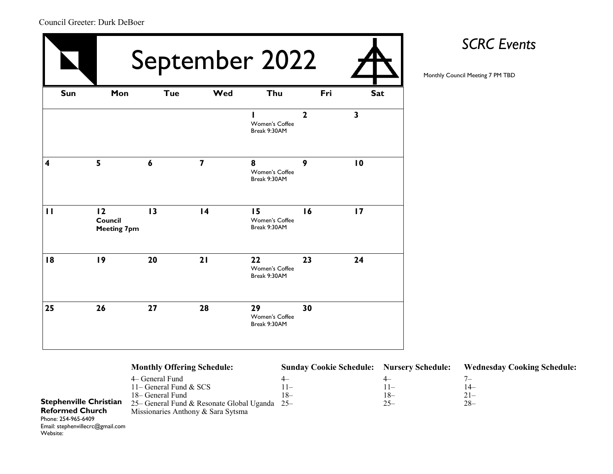Website:

|              |                                     | September 2022   |                         |                                      |              |                 |  |  |  |
|--------------|-------------------------------------|------------------|-------------------------|--------------------------------------|--------------|-----------------|--|--|--|
| Sun          | Mon                                 | <b>Tue</b>       | Wed                     | Thu                                  | Fri          | Sat             |  |  |  |
|              |                                     |                  |                         | Women's Coffee<br>Break 9:30AM       | $\mathbf{2}$ | $\mathbf{3}$    |  |  |  |
| 4            | 5                                   | $\boldsymbol{6}$ | $\overline{\mathbf{z}}$ | 8<br>Women's Coffee<br>Break 9:30AM  | 9            | $\overline{10}$ |  |  |  |
| $\mathbf{H}$ | 12<br>Council<br><b>Meeting 7pm</b> | 13               | $\overline{14}$         | 15<br>Women's Coffee<br>Break 9:30AM | 16           | $\overline{17}$ |  |  |  |
| 18           | 19                                  | 20               | 21                      | 22<br>Women's Coffee<br>Break 9:30AM | 23           | 24              |  |  |  |
| 25           | 26                                  | 27               | 28                      | 29<br>Women's Coffee<br>Break 9:30AM | 30           |                 |  |  |  |

# *SCRC Events*

|                                  | <b>Monthly Offering Schedule:</b>             | <b>Sunday Cookie Schedule: Nursery Schedule:</b> |         | <b>Wednesday Cooking Schedule:</b> |
|----------------------------------|-----------------------------------------------|--------------------------------------------------|---------|------------------------------------|
|                                  | 4– General Fund                               | $4-$                                             | $^{4-}$ | $\sqrt{ }$                         |
|                                  | 11– General Fund $&$ SCS                      | $11-$                                            | $11-$   | $14-$                              |
|                                  | 18– General Fund                              | $18-$                                            | $18-$   | $21 -$                             |
| <b>Stephenville Christian</b>    | 25– General Fund & Resonate Global Uganda 25– |                                                  | $25 -$  | $28 -$                             |
| <b>Reformed Church</b>           | Missionaries Anthony & Sara Sytsma            |                                                  |         |                                    |
| Phone: 254-965-6409              |                                               |                                                  |         |                                    |
| Email: stephenvillecrc@gmail.com |                                               |                                                  |         |                                    |

Council Greeter: Durk DeBoer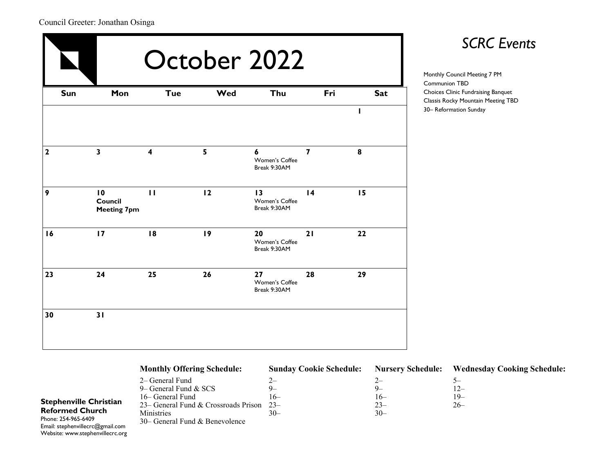### Council Greeter: Jonathan Osinga

|              | October 2022                        |                         |     |                                      |                 |            |  |  |  |
|--------------|-------------------------------------|-------------------------|-----|--------------------------------------|-----------------|------------|--|--|--|
| Sun          | Mon                                 | <b>Tue</b>              | Wed | Thu                                  | Fri             | <b>Sat</b> |  |  |  |
|              |                                     |                         |     |                                      |                 | I          |  |  |  |
| $\mathbf{2}$ | $\overline{\mathbf{3}}$             | $\overline{\mathbf{4}}$ | 5   | 6<br>Women's Coffee<br>Break 9:30AM  | $\overline{7}$  | 8          |  |  |  |
| 9            | 10<br>Council<br><b>Meeting 7pm</b> | $\mathbf{H}$            | 12  | 13<br>Women's Coffee<br>Break 9:30AM | $\overline{14}$ | 15         |  |  |  |
| 16           | 17                                  | 18                      | 19  | 20<br>Women's Coffee<br>Break 9:30AM | 21              | 22         |  |  |  |
| 23           | 24                                  | 25                      | 26  | 27<br>Women's Coffee<br>Break 9:30AM | 28              | 29         |  |  |  |
| 30           | 31                                  |                         |     |                                      |                 |            |  |  |  |

# *SCRC Events*

Monthly Council Meeting 7 PM Communion TBD Choices Clinic Fundraising Banquet Classis Rocky Mountain Meeting TBD 30– Reformation Sunday

|                                  | <b>Monthly Offering Schedule:</b>          | <b>Sunday Cookie Schedule:</b> | <b>Nursery Schedule:</b> | <b>Wednesday Cooking Schedule:</b> |
|----------------------------------|--------------------------------------------|--------------------------------|--------------------------|------------------------------------|
|                                  | 2– General Fund                            |                                | $2-$                     |                                    |
|                                  | 9– General Fund $&$ SCS                    | $Q_{-}$                        | $Q_{-}$                  | 12–                                |
|                                  | 16– General Fund                           | l 6–                           | $16-$                    | 19–                                |
| <b>Stephenville Christian</b>    | 23– General Fund & Crossroads Prison $23-$ |                                | $23 -$                   | $26-$                              |
| <b>Reformed Church</b>           | Ministries                                 | $30-$                          | $30 -$                   |                                    |
| Phone: 254-965-6409              | $30 -$ General Fund & Benevolence          |                                |                          |                                    |
| Email: stephenvillecrc@gmail.com |                                            |                                |                          |                                    |

Phone: 254-965-6409 Email: stephenvillecrc( Website: www.stephenvillecrc.org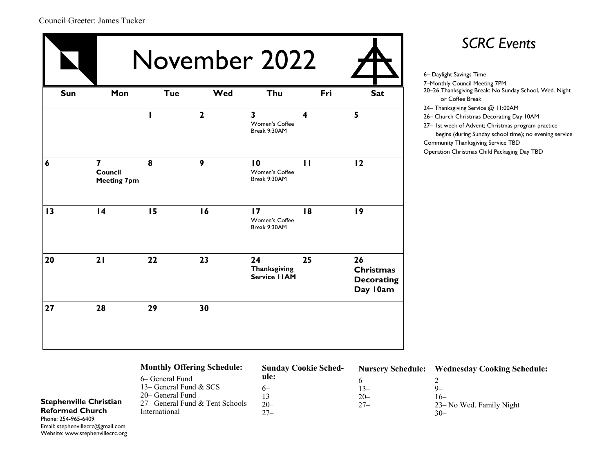|                  |                                                          |            |                | November 2022                                             |                         |                                                         |
|------------------|----------------------------------------------------------|------------|----------------|-----------------------------------------------------------|-------------------------|---------------------------------------------------------|
| Sun              | Mon                                                      | <b>Tue</b> | Wed            | Thu                                                       | Fri                     | <b>Sat</b>                                              |
|                  |                                                          | I          | $\overline{2}$ | $\overline{\mathbf{3}}$<br>Women's Coffee<br>Break 9:30AM | $\overline{\mathbf{4}}$ | 5                                                       |
| $\boldsymbol{6}$ | $\overline{\mathbf{z}}$<br>Council<br><b>Meeting 7pm</b> | 8          | 9              | 10<br>Women's Coffee<br>Break 9:30AM                      | $\mathbf{H}$            | 12                                                      |
| 13               | $\overline{14}$                                          | 15         | 16             | $\overline{17}$<br>Women's Coffee<br>Break 9:30AM         | 18                      | 19                                                      |
| 20               | 21                                                       | 22         | 23             | 24<br><b>Thanksgiving</b><br>Service IIAM                 | 25                      | 26<br><b>Christmas</b><br><b>Decorating</b><br>Day 10am |
| 27               | 28                                                       | 29         | 30             |                                                           |                         |                                                         |

### 6– Daylight Savings Time 7–Monthly Council Meeting 7PM 20–26 Thanksgiving Break: No Sunday School, Wed. Night or Coffee Break 24– Thanksgiving Service @ 11:00AM 26– Church Christmas Decorating Day 10AM

27– 1st week of Advent; Christmas program practice begins (during Sunday school time); no evening service Community Thanksgiving Service TBD Operation Christmas Child Packaging Day TBD

### **Monthly Offering Schedule:**

| 6– General Fund                 | ule:  |
|---------------------------------|-------|
| 13– General Fund & SCS          | 6—    |
| 20– General Fund                | $13-$ |
| 27– General Fund & Tent Schools | $20-$ |
| International                   | $27-$ |

#### **Sunday Cookie Schedule:**

#### **Nursery Schedule: Wednesday Cooking Schedule:** 6– 2–

13–  $20-$ 27–

 $9-$ 16– 23– No Wed. Family Night

30–

### **Stephenville Christian Reformed Church**